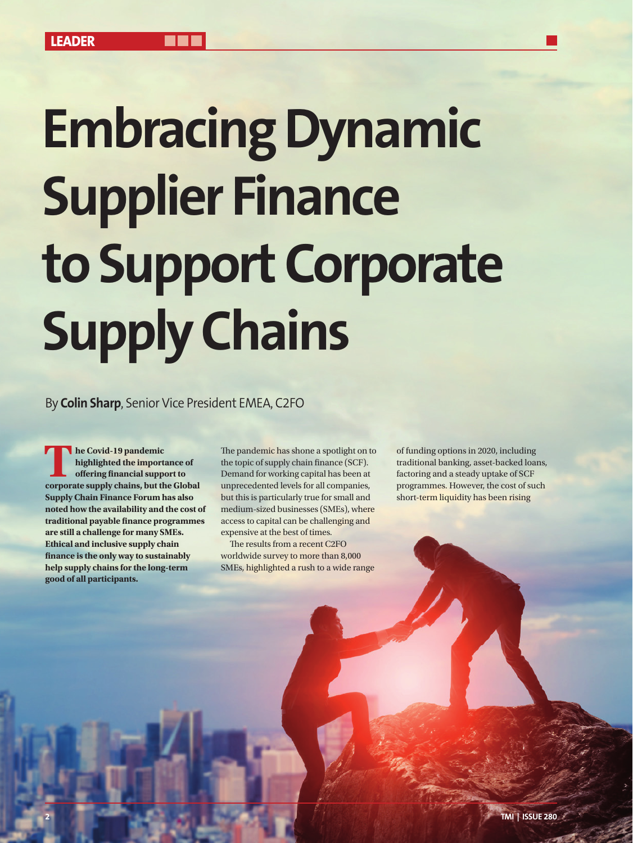## **Embracing Dynamic Supplier Finance to Support Corporate Supply Chains**

By **Colin Sharp**, Senior Vice President EMEA, C2FO

**The Covid-19 pandemic<br>
highlighted the imports<br>
offering financial supper<br>
corporate supply chains, but the supply of the supply of the supply of the supply<br>
of the supply chains, but the supply of the supply of the suppl highlighted the importance of offering financial support to corporate supply chains, but the Global Supply Chain Finance Forum has also noted how the availability and the cost of traditional payable finance programmes are still a challenge for many SMEs. Ethical and inclusive supply chain finance is the only way to sustainably help supply chains for the long-term good of all participants.** 

The pandemic has shone a spotlight on to the topic of supply chain finance (SCF). Demand for working capital has been at unprecedented levels for all companies, but this is particularly true for small and medium-sized businesses (SMEs), where access to capital can be challenging and expensive at the best of times.

The results from a recent C2FO worldwide survey to more than 8,000 SMEs, highlighted a rush to a wide range of funding options in 2020, including traditional banking, asset-backed loans, factoring and a steady uptake of SCF programmes. However, the cost of such short-term liquidity has been rising